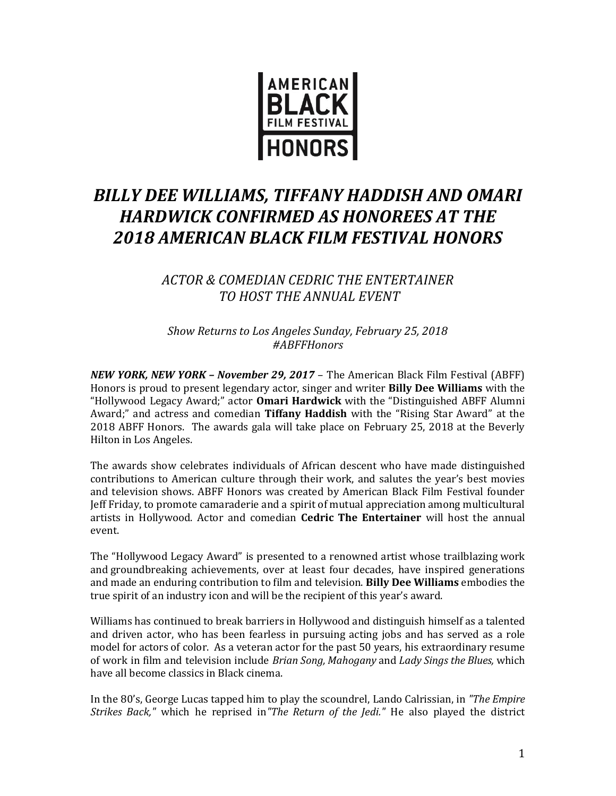

# *BILLY DEE WILLIAMS, TIFFANY HADDISH AND OMARI HARDWICK CONFIRMED AS HONOREES AT THE 2018 AMERICAN BLACK FILM FESTIVAL HONORS*

# *ACTOR & COMEDIAN CEDRIC THE ENTERTAINER TO HOST THE ANNUAL EVENT*

*Show Returns to Los Angeles Sunday, February 25, 2018 #ABFFHonors*

*NEW YORK, NEW YORK – November 29, 2017* – The American Black Film Festival (ABFF) Honors is proud to present legendary actor, singer and writer **Billy Dee Williams** with the "Hollywood Legacy Award;" actor **Omari Hardwick** with the "Distinguished ABFF Alumni Award;" and actress and comedian **Tiffany Haddish** with the "Rising Star Award" at the 2018 ABFF Honors. The awards gala will take place on February 25, 2018 at the Beverly Hilton in Los Angeles.

The awards show celebrates individuals of African descent who have made distinguished contributions to American culture through their work, and salutes the year's best movies and television shows. ABFF Honors was created by American Black Film Festival founder Jeff Friday, to promote camaraderie and a spirit of mutual appreciation among multicultural artists in Hollywood. Actor and comedian **Cedric The Entertainer** will host the annual event.

The "Hollywood Legacy Award" is presented to a renowned artist whose trailblazing work and groundbreaking achievements, over at least four decades, have inspired generations and made an enduring contribution to film and television. **Billy Dee Williams** embodies the true spirit of an industry icon and will be the recipient of this year's award.

Williams has continued to break barriers in Hollywood and distinguish himself as a talented and driven actor, who has been fearless in pursuing acting jobs and has served as a role model for actors of color. As a veteran actor for the past 50 years, his extraordinary resume of work in film and television include *Brian Song, Mahogany* and *Lady Sings the Blues,* which have all become classics in Black cinema.

In the 80's, George Lucas tapped him to play the scoundrel, Lando Calrissian, in *"The Empire Strikes Back,"* which he reprised in*"The Return of the Jedi."* He also played the district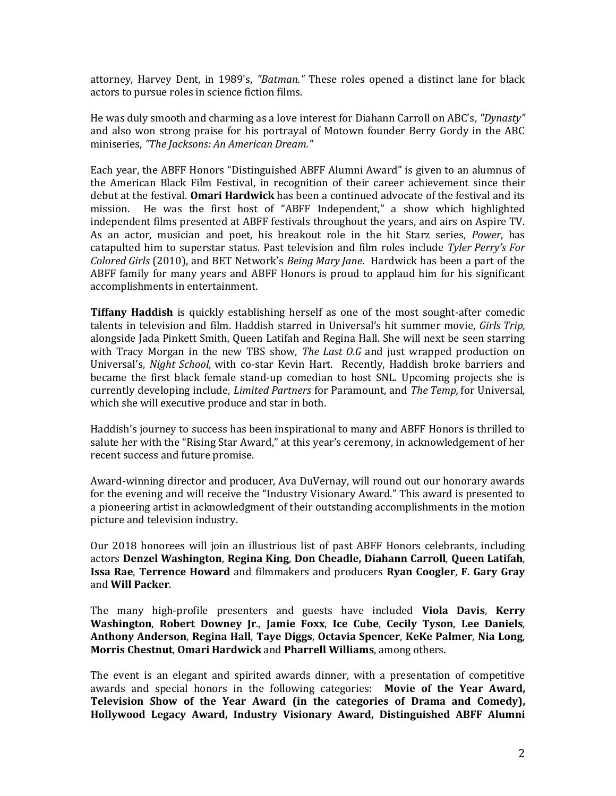attorney, Harvey Dent, in 1989's, *"Batman."* These roles opened a distinct lane for black actors to pursue roles in science fiction films.

He was duly smooth and charming as a love interest for Diahann Carroll on ABC's, *"Dynasty"* and also won strong praise for his portrayal of Motown founder Berry Gordy in the ABC miniseries, *"The Jacksons: An American Dream."*

Each year, the ABFF Honors "Distinguished ABFF Alumni Award" is given to an alumnus of the American Black Film Festival, in recognition of their career achievement since their debut at the festival. **Omari Hardwick** has been a continued advocate of the festival and its mission. He was the first host of "ABFF Independent," a show which highlighted independent films presented at ABFF festivals throughout the years, and airs on Aspire TV. As an actor, musician and poet, his breakout role in the hit Starz series, *Power*, has catapulted him to superstar status. Past television and film roles include *Tyler Perry's For Colored Girls* (2010), and BET Network's *Being Mary Jane*. Hardwick has been a part of the ABFF family for many years and ABFF Honors is proud to applaud him for his significant accomplishments in entertainment.

**Tiffany Haddish** is quickly establishing herself as one of the most sought-after comedic talents in television and film. Haddish starred in Universal's hit summer movie, *Girls Trip,* alongside Jada Pinkett Smith, Queen Latifah and Regina Hall. She will next be seen starring with Tracy Morgan in the new TBS show, *The Last O.G* and just wrapped production on Universal's, *Night School,* with co-star Kevin Hart. Recently, Haddish broke barriers and became the first black female stand-up comedian to host SNL. Upcoming projects she is currently developing include, *Limited Partners* for Paramount, and *The Temp,* for Universal, which she will executive produce and star in both.

Haddish's journey to success has been inspirational to many and ABFF Honors is thrilled to salute her with the "Rising Star Award," at this year's ceremony, in acknowledgement of her recent success and future promise.

Award-winning director and producer, Ava DuVernay, will round out our honorary awards for the evening and will receive the "Industry Visionary Award." This award is presented to a pioneering artist in acknowledgment of their outstanding accomplishments in the motion picture and television industry.

Our 2018 honorees will join an illustrious list of past ABFF Honors celebrants, including actors **Denzel Washington**, **Regina King**, **Don Cheadle, Diahann Carroll**, **Queen Latifah**, **Issa Rae**, **Terrence Howard** and filmmakers and producers **Ryan Coogler**, **F. Gary Gray** and **Will Packer**.

The many high-profile presenters and guests have included **Viola Davis**, **Kerry Washington**, **Robert Downey Jr**., **Jamie Foxx**, **Ice Cube**, **Cecily Tyson**, **Lee Daniels**, **Anthony Anderson**, **Regina Hall**, **Taye Diggs**, **Octavia Spencer**, **KeKe Palmer**, **Nia Long**, **Morris Chestnut**, **Omari Hardwick** and **Pharrell Williams**, among others.

The event is an elegant and spirited awards dinner, with a presentation of competitive awards and special honors in the following categories: **Movie of the Year Award, Television Show of the Year Award (in the categories of Drama and Comedy), Hollywood Legacy Award, Industry Visionary Award, Distinguished ABFF Alumni**